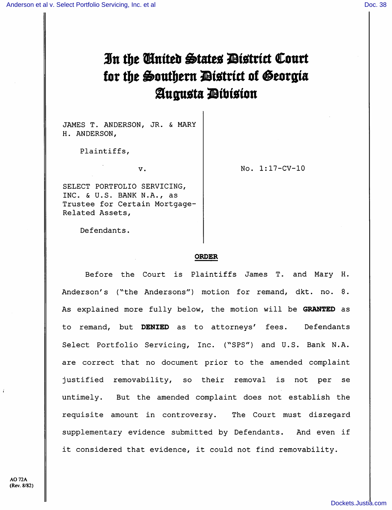# In the United States District Court for the Southern District of Georgia Augusta Dibision

JAMES T. ANDERSON, JR. & MARY H. ANDERSON,

Plaintiffs,

v. 1:17-CV-10

SELECT PORTFOLIO SERVICING, INC. & U.S. BANK N.A., as Trustee for Certain Mortgage-Related Assets,

Defendants.

## ORDER

Before the Court is Plaintiffs James T. and Mary H. Anderson's (^'the Andersons") motion for remand, dkt. no. 8. As explained more fully below, the motion will be GRANTED as to remand, but DENIED as to attorneys' fees. Defendants Select Portfolio Servicing, Inc. ("SPS") and U.S. Bank N.A. are correct that no document prior to the amended complaint justified removability, so their removal is not per se untimely. But the amended complaint does not establish the requisite amount in controversy. The Court must disregard supplementary evidence submitted by Defendants. And even if it considered that evidence, it could not find removability.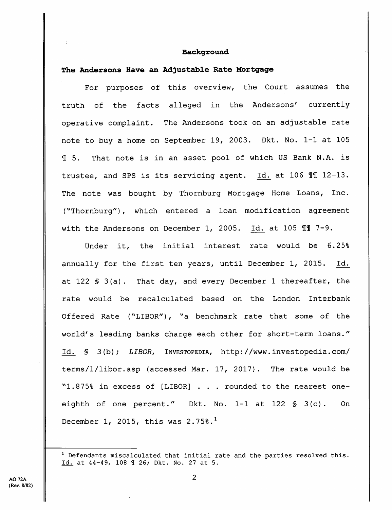#### Background

#### The Andersons Have an Adjustable Rate Mortgage

 $\ddot{\cdot}$ 

For purposes of this overview, the Court assumes the truth of the facts alleged in the Andersons' currently operative complaint. The Andersons took on an adjustable rate note to buy a home on September 19, 2003. Dkt. No. 1-1 at 105 SI 5. That note is in an asset pool of which US Bank N.A. is trustee, and SPS is its servicing agent. Id. at 106 II 12-13. The note was bought by Thornburg Mortgage Home Loans, Inc. {^^Thornburg") , which entered a loan modification agreement with the Andersons on December 1, 2005. Id. at 105  $\mathbb{II}$  7-9.

Under it, the initial interest rate would be 6.25% annually for the first ten years, until December 1, 2015. Id. at 122 § 3(a). That day, and every December 1 thereafter, the rate would be recalculated based on the London Interbank Offered Rate ("LIBOR"), "a benchmark rate that some of the world's leading banks charge each other for short-term loans." Id. § 3(b); LIBOR, Investopedia, http://www.investopedia.com/ terms/l/libor.asp (accessed Mar. 17, 2017). The rate would be "1.875% in excess of [LIBOR] . . . rounded to the nearest oneeighth of one percent." Dkt. No. 1-1 at 122 § 3(c). On December 1, 2015, this was  $2.75\$ .<sup>1</sup>

 $1$  Defendants miscalculated that initial rate and the parties resolved this. Id. at 44-49, 108 1 26; Dkt. No. 27 at 5.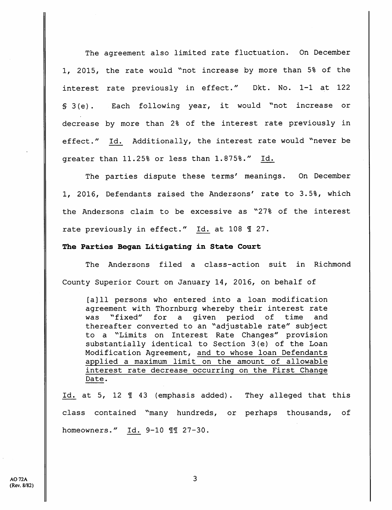The agreement also limited rate fluctuation. On December 1, 2015, the rate would ''not increase by more than 5% of the interest rate previously in effect." Dkt. No. 1-1 at 122 § 3(e). Each following year, it would "not increase or decrease by more than 2% of the interest rate previously in effect." Id. Additionally, the interest rate would "never be greater than 11.25% or less than 1.875%." Id.

The parties dispute these terms' meanings. On December 1, 2016, Defendants raised the Andersons' rate to 3.5%, which the Andersons claim to be excessive as "27% of the interest rate previously in effect." Id. at 108 1 27.

# The Parties Began Litigating in State Court

The Andersons filed a class-action suit in Richmond County Superior Court on January 14, 2016, on behalf of

[a] 11 persons who entered into a loan modification agreement with Thornburg whereby their interest rate was "fixed" for a given period of time and thereafter converted to an "adjustable rate" subject to a "Limits on Interest Rate Changes" provision substantially identical to Section 3(e) of the Loan Modification Agreement, and to whose loan Defendants applied a maximum limit on the amount of allowable interest rate decrease occurring on the First Change Date.

Id. at 5, 12 1 43 (emphasis added). They alleged that this class contained "many hundreds, or perhaps thousands, of homeowners." Id. 9-10 11 27-30.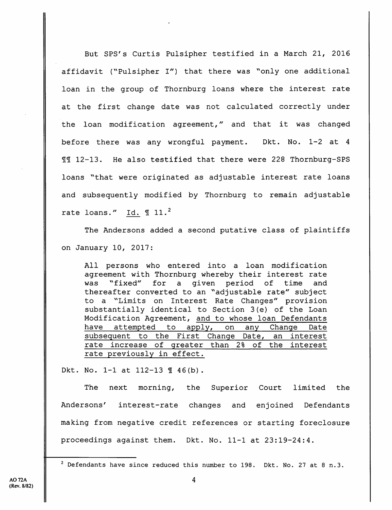But SPS's Curtis Pulsipher testified in a March 21, 2016 affidavit (''Pulsipher I") that there was "only one additional loan in the group of Thornburg loans where the interest rate at the first change date was not calculated correctly under the loan modification agreement," and that it was changed before there was any wrongful payment. Dkt. No. 1-2 at 4 12-13. He also testified that there were 228 Thornburg-SPS loans "that were originated as adjustable interest rate loans and subsequently modified by Thornburg to remain adjustable rate loans." Id.  $\text{\textsterling} 11.^2$ 

The Andersons added a second putative class of plaintiffs on January 10, 2017:

All persons who entered into a loan modification agreement with Thornburg whereby their interest rate was "fixed" for a given period of time and thereafter converted to an "adjustable rate" subject to a "Limits on Interest Rate Changes" provision substantially identical to Section 3(e) of the Loan Modification Agreement, and to whose loan Defendants have attempted to apply, on any Change Date subsequent to the First Change Date, an interest rate increase of greater than 2% of the interest rate previously in effect.

Dkt. No. 1-1 at  $112-13$   $\frac{1}{1}$  46(b).

The next morning, the Superior Court limited the Andersons' interest-rate changes and enjoined Defendants making from negative credit references or starting foreclosure proceedings against them. Dkt. No. 11-1 at 23:19-24:4.

 $2$  Defendants have since reduced this number to 198. Dkt. No. 27 at 8 n.3.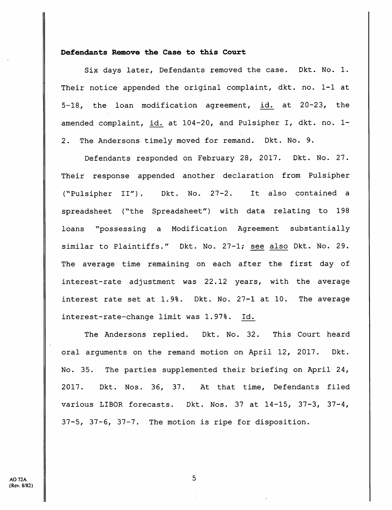# Defendants Remove the Case to this Court

Six days later, Defendants removed the case. Dkt. No. 1. Their notice appended the original complaint, dkt. no. 1-1 at 5-18, the loan modification agreement, id. at 20-23, the amended complaint, id. at 104-20, and Pulsipher I, dkt. no. 1- 2. The Andersons timely moved for remand. Dkt. No. 9.

Defendants responded on February 28, 2017. Dkt. No. 27. Their response appended another declaration from Pulsipher {^^Pulsipher II"). Dkt. No. 27-2. It also contained a spreadsheet ("the Spreadsheet") with data relating to 198 loans "possessing a Modification Agreement substantially similar to Plaintiffs." Dkt. No. 27-1; see also Dkt. No. 29. The average time remaining on each after the first day of interest-rate adjustment was 22.12 years, with the average interest rate set at 1.9%. Dkt. No. 27-1 at 10. The average interest-rate-change limit was 1.97%. Id.

The Andersons replied. Dkt. No. 32. This Court heard oral arguments on the remand motion on April 12, 2017. Dkt. No. 35. The parties supplemented their briefing on April 24, 2017. Dkt. Nos. 36, 37. At that time. Defendants filed various LIBOR forecasts. Dkt. Nos. 37 at 14-15, 37-3, 37-4, 37-5, 37-6, 37-7. The motion is ripe for disposition.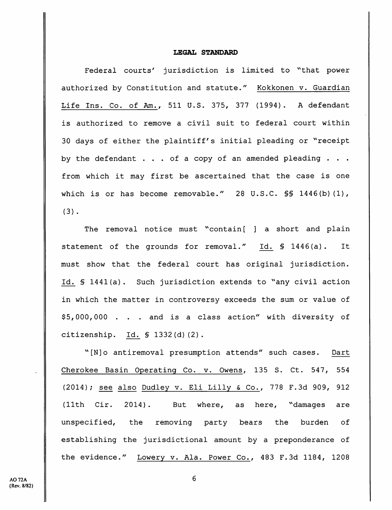# LEGAL STANDARD

Federal courts' jurisdiction is limited to "that power authorized by Constitution and statute." Kokkonen v. Guardian Life Ins. Co. of Am., 511 U.S. 375, 377 (1994). A defendant is authorized to remove a civil suit to federal court within 30 days of either the plaintiff's initial pleading or "receipt by the defendant . . . of a copy of an amended pleading . . . from which it may first be ascertained that the case is one which is or has become removable." 28 U.S.C. \$\$ 1446(b)(1),  $(3)$ .

The removal notice must "contain[ ] a short and plain statement of the grounds for removal." Id. § 1446(a). It must show that the federal court has original jurisdiction. Id. § 1441(a). Such jurisdiction extends to "any civil action in which the matter in controversy exceeds the sum or value of \$5,000,000 . . . and is a class action" with diversity of citizenship. Id. § 1332(d)(2).

"[N]o antiremoval presumption attends" such cases. Dart Cherokee Basin Operating Co. v. Owens, 135 S. Ct. 547, 554 (2014); see also Dudley v. Eli Lilly & Co., 778 F.3d 909, 912 (11th Cir. 2014). But where, as here, "damages are unspecified, the removing party bears the burden of establishing the jurisdictional amount by a preponderance of the evidence." Lowery v. Ala. Power Co., 483 F.3d 1184, 1208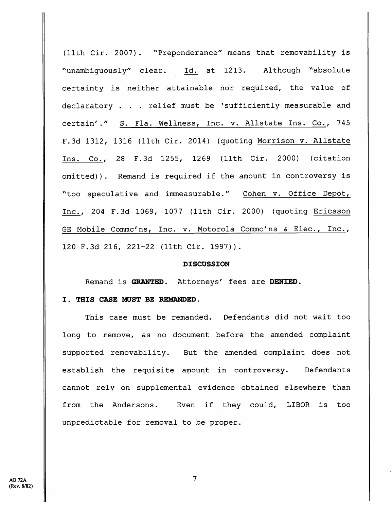(11th Cir. 2007). "Preponderance" means that removability is "unambiguously" clear. Id. at 1213. Although "absolute certainty is neither attainable nor required, the value of declaratory . . . relief must be 'sufficiently measurable and certain'." S. Fla. Wellness, Inc. v. Allstate Ins. Co., 745 F.Sd 1312, 1316 (11th Cir. 2014) (quoting Morrison v. Allstate Ins. Co., 28 F.3d 1255, 1269 (11th Cir. 2000) (citation omitted)). Remand is required if the amount in controversy is "too speculative and immeasurable." Cohen v. Office Depot, Inc., 204 F.3d 1069, 1077 (11th Cir. 2000) (quoting Ericsson GE Mobile Commc'ns, Inc. v. Motorola Commc'ns & Elec., Inc., 120 F.3d 216, 221-22 (11th Cir. 1997)).

#### DISCUSSION

Remand is GRANTED. Attorneys' fees are DENIED.

#### I. THIS CASE MUST BE REMANDED.

This case must be remanded. Defendants did not wait too long to remove, as no document before the amended complaint supported removability. But the amended complaint does not establish the requisite amount in controversy. Defendants cannot rely on supplemental evidence obtained elsewhere than from the Andersons. Even if they could, LIBOR is too unpredictable for removal to be proper.

 $\overline{7}$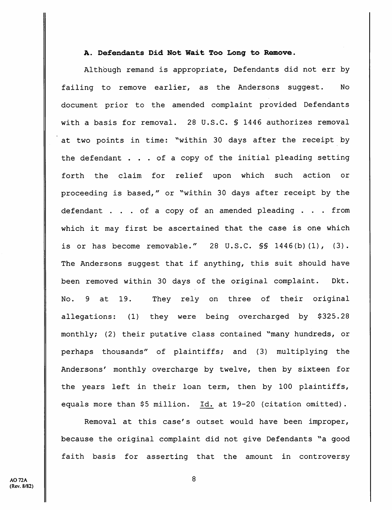# A. Defendants Did Not Wait Too Long to Remove.

Although remand is appropriate, Defendants did not err by failing to remove earlier, as the Andersons suggest. No document prior to the amended complaint provided Defendants with a basis for removal. 28 U.S.C. § 1446 authorizes removal at two points in time: "within 30 days after the receipt by the defendant . . . of a copy of the initial pleading setting forth the claim for relief upon which such action or proceeding is based," or ''within 30 days after receipt by the defendant . . . of a copy of an amended pleading . . . from which it may first be ascertained that the case is one which is or has become removable." 28  $U.S.C. S\$  1446(b)(1), (3). The Andersons suggest that if anything, this suit should have been removed within 30 days of the original complaint. Dkt. No. 9 at 19. They rely on three of their original allegations: (1) they were being overcharged by \$325.28 monthly; (2) their putative class contained "many hundreds, or perhaps thousands" of plaintiffs; and (3) multiplying the Andersons' monthly overcharge by twelve, then by sixteen for the years left in their loan term, then by 100 plaintiffs, equals more than \$5 million. Id. at 19-20 (citation omitted).

Removal at this case's outset would have been improper, because the original complaint did not give Defendants "a good faith basis for asserting that the amount in controversy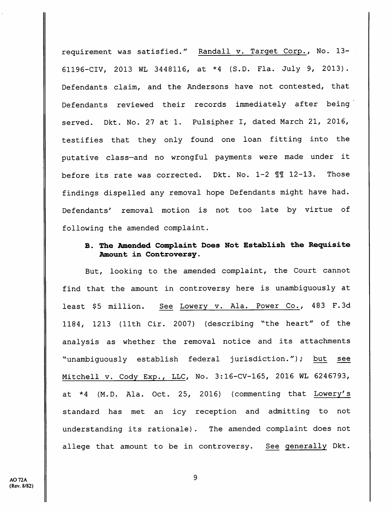requirement was satisfied." Randall v. Target Corp., No. 13- 61196-CIV, 2013 WL 3448116., at \*4 (S.D. Fla. July 9, 2013). Defendants claim, and the Andersons have not contested, that Defendants reviewed their records immediately after being served. Dkt. No. 27 at 1. Pulsipher I, dated March 21, 2016, testifies that they only found one loan fitting into the putative class—and no wrongful payments were made under it before its rate was corrected. Dkt. No. 1-2 11 12-13. Those findings dispelled any removal hope Defendants might have had. Defendants' removal motion is not too late by virtue of following the amended complaint.

# B. The Amended Complainh Does Not Establish the Requisite Amount in Controversy.

But, looking to the amended complaint, the Court cannot find that the amount in controversy here is unambiguously at least \$5 million. See Lowery v. Ala. Power Co., 483 F.3d 1184, 1213 (11th Cir. 2007) (describing ^'the heart" of the analysis as whether the removal notice and its attachments ^^unambiguously establish federal jurisdiction."); but see Mitchell V. Cody Exp., LLC, No. 3:16-CV-165, 2016 WL 6246793, at \*4 (M.D. Ala. Oct. 25, 2016) (commenting that Lowery's standard has met an icy reception and admitting to not understanding its rationale). The amended complaint does not allege that amount to be in controversy. See generally Dkt.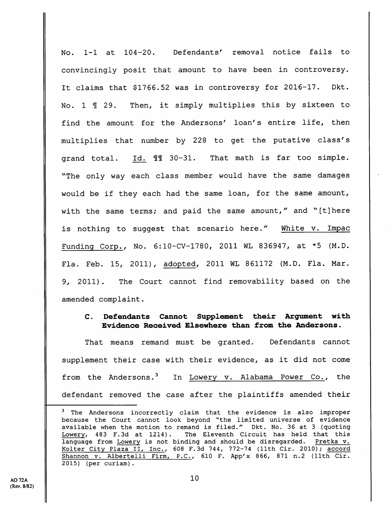No. 1-1 at 104-20. Defendants' removal notice fails to convincingly posit that amount to have been in controversy. It claims that \$1766.52 was in controversy for 2016-17. Dkt. No. 1  $\text{\texttt{I}}$  29. Then, it simply multiplies this by sixteen to find the amount for the Andersons' loan's entire life, then multiplies that number by 228 to get the putative class's grand total. Id. 30-31. That math is far too simple. "The only way each class member would have the same damages would be if they each had the same loan, for the same amount, with the same terms; and paid the same amount," and "[t]here is nothing to suggest that scenario here." White v. Impac Funding Corp., No. 6:lO-CV-1780, 2011 WL 836947, at \*5 (M.D. Fla. Feb. 15, 2011), adopted, 2011 WL 861172 (M.D. Fla. Mar. 9, 2011). The Court cannot find removability based on the amended complaint.

# C. Defendants Cannot Supplement their Argument with Evidence Received Elsewhere than from the Andersons.

That means remand must be granted. Defendants cannot supplement their case with their evidence, as it did not come from the Andersons.<sup>3</sup> In Lowery v. Alabama Power Co., the defendant removed the case after the plaintiffs amended their

<sup>&</sup>lt;sup>3</sup> The Andersons incorrectly claim that the evidence is also improper because the Court cannot look beyond "the limited universe of evidence available when the motion to remand is filed." Dkt. No. 36 at 3 (quoting Lowery, 483 F.3d at 1214). The Eleventh Circuit has held that this language from Lowery is not binding and should be disregarded. Pretka v. Kolter City Plaza II, Inc., 608 F.3d 744, 772-74 (11th Cir. 2010); accord Shannon v. Albertelli Firm, P.C., 610 F. App'x 866, 871 n.2 (11th Cir. 2015) (per curiam).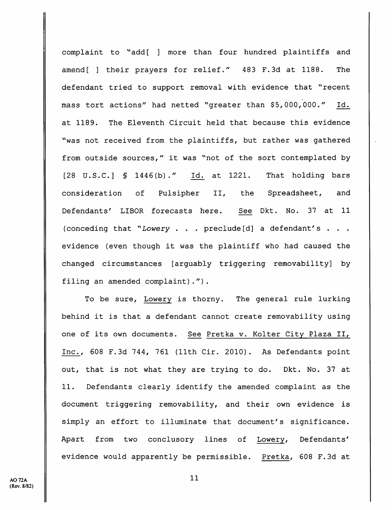complaint to ^'add[ ] more than four hundred plaintiffs and amend[ ] their prayers for relief." 483 F.Sd at 1188. The defendant tried to support removal with evidence that "recent mass tort actions" had netted "greater than \$5,000,000." Id. at 1189. The Eleventh Circuit held that because this evidence ^'was not received from the plaintiffs, but rather was gathered from outside sources," it was "not of the sort contemplated by [28 U.S.C.] § 1446(b)." Id^ at 1221. That holding bars consideration of Pulsipher II, the Spreadsheet, and Defendants' LIBOR forecasts here. See Dkt. No. 37 at 11 (conceding that "Lowery . . . preclude [d] a defendant's . . . evidence (even though it was the plaintiff who had caused the changed circumstances [arguably triggering removability] by filing an amended complaint).").

To be sure, Lowery is thorny. The general rule lurking behind it is that a defendant cannot create removability using one of its own documents. See Pretka v. Kolter City Plaza II, Inc., 608 F.Sd 744, 761 (11th Cir. 2010). As Defendants point out, that is not what they are trying to do. Dkt. No. 37 at 11. Defendants clearly identify the amended complaint as the document triggering removability, and their own evidence is simply an effort to illuminate that document's significance. Apart from two conclusory lines of Lowery, Defendants' evidence would apparently be permissible. Pretka, 608 F.Sd at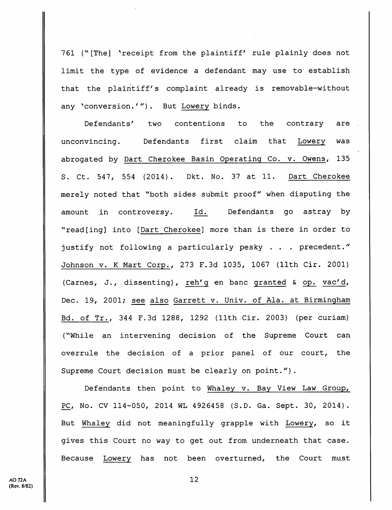761 ("[The] 'receipt from the plaintiff' rule plainly does not limit the type of evidence a defendant may use to establish that the plaintiff's complaint already is removable-without any 'conversion.'"). But Lowery binds.

Defendants' two contentions to the contrary are unconvincing. Defendants first claim that Lowery was abrogated by Dart Cherokee Basin Operating Co. v. Owens, 135 S. Ct. 547, 554 (2014) . Dkt. No. 37 at 11. Dart Cherokee merely noted that "both sides submit proof" when disputing the amount in controversy. Id. Defendants go astray by ^^read[ing] into [Dart Cherokee] more than is there in order to justify not following a particularly pesky . . . precedent." Johnson v. K Mart Corp., 273 F.3d 1035, 1067 (11th Cir. 2001) (Carnes, J., dissenting), reh'q en banc granted & op. vac'd, Dec. 19, 2001; see also Garrett v. Univ. of Ala. at Birmingham Bd. of Tr., 344 F.3d 1288, 1292 (11th Cir. 2003) (per curiam) (^'While an intervening decision of the Supreme Court can overrule the decision of a prior panel of our court, the Supreme Court decision must be clearly on point.").

Defendants then point to Whaley v. Bay View Law Group, PC, No. CV 114-050, 2014 WL 4926458 (S.D. Ga. Sept. 30, 2014). But Whaley did not meaningfully grapple with Lowery, so it gives this Court no way to get out from underneath that case. Because Lowery has not been overturned, the Court must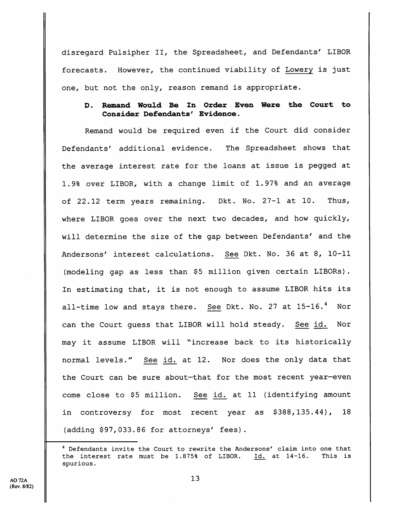disregard Pulsipher II, the Spreadsheet, and Defendants' LIBOR forecasts. However, the continued viability of Lowery is just one, but not the only, reason remand is appropriate.

# D. Remand Would Be In Order Even Were the Court to Consider Defendants' Evidence.

Remand would be required even if the Court did consider Defendants' additional evidence. The Spreadsheet shows that the average interest rate for the loans at issue is pegged at 1.9% over LIBOR, with a change limit of 1.97% and an average of 22.12 term years remaining. Dkt. No. 27-1 at 10. Thus, where LIBOR goes over the next two decades, and how quickly, will determine the size of the gap between Defendants' and the Andersons' interest calculations. See Dkt. No. 36 at 8, 10-11 (modeling gap as less than \$5 million given certain LIBORs). In estimating that, it is not enough to assume LIBOR hits its all-time low and stays there. See Dkt. No. 27 at 15-16.<sup>4</sup> Nor can the Court guess that LIBOR will hold steady. See id. Nor may it assume LIBOR will "increase back to its historically normal levels." See id. at 12. Nor does the only data that the Court can be sure about—that for the most recent year—even come close to \$5 million. See id. at 11 (identifying amount in controversy for most recent year as \$388,135.44), 18 (adding \$97,033.86 for attorneys' fees).

<sup>&</sup>lt;sup>4</sup> Defendants invite the Court to rewrite the Andersons' claim into one that the interest rate must be 1.875% of LIBOR. Id. at 14-16. This is spurious.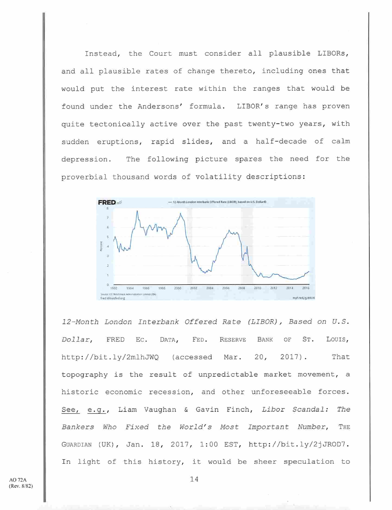Instead, the Court must consider all plausible LIBORs, and all plausible rates of change thereto, including ones that would put the interest rate within the ranges that would be found under the Andersons' formula. LIBOR's range has proven quite tectonically active over the past twenty-two years, with sudden eruptions, rapid slides, and a half-decade of calm depression. The following picture spares the need for the proverbial thousand words of volatility descriptions:



12-Month London Interbank Offered Rate (LIBOR), Based on U.S. Dollar, FRED Ec. Data, Fed. Reserve Bank of St. Louis, http://bit.ly/2mlhJWQ (accessed Mar. 20, 2017). That topography is the result of unpredictable market movement, a historic economic recession, and other unforeseeable forces. See, e.g., Liam Vaughan & Gavin Finch, Libor Scandal: The Bankers Who Fixed the World's Most Important Number, THE Guardian (DK) , Jan. 18, 2017, 1:00 EST, http://bit.ly/2jJROD7. In light of this history, it would be sheer speculation to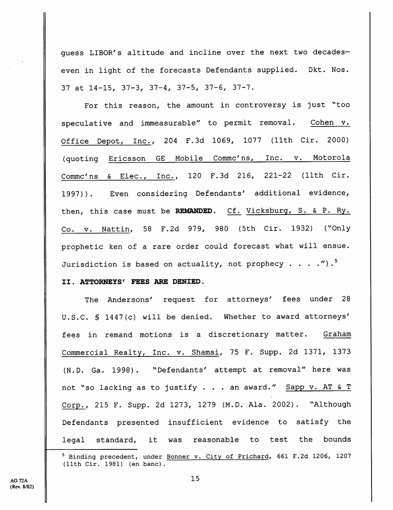guess LIBOR's altitude and incline over the next two decadeseven in light of the forecasts Defendants supplied. Dkt. Nos. 37 at 14-15, 37-3, 37-4, 37-5, 37-6, 37-7.

For this reason, the amount in controversy is just "too speculative and immeasurable" to permit removal. Cohen v. Office Depot, Inc., 204 F.3d 1069, 1077 {11th Cir. 2000) (quoting Ericsson GE Mobile Commc^ns, Inc. v. Motorola Commc^ns & Elec., Inc., 120 F.3d 216, 221-22 (11th Cir. 1997)). Even considering Defendants' additional evidence, then, this case must be REMANDED. Cf. Vicksburg, S. & P. Ry. Co. V. Nattin, 58 F.2d 979, 980 (5th Cir. 1932) (''Only prophetic ken of a rare order could forecast what will ensue. Jurisdiction is based on actuality, not prophecy . . . . ").<sup>5</sup>

## II. ATTORNEYS' FEES ARE DENIED.

The Andersons' request for attorneys' fees under 28 U.S.C. § 1447(c) will be denied. Whether to award attorneys' fees in remand motions is a discretionary matter. Graham Commercial Realty, Inc. v. Shamsi, 75 F. Supp. 2d 1371, 1373 (N.D. Ga. 1998). "Defendants' attempt at removal" here was not "so lacking as to justify . . . an award." Sapp v. AT & T Corp., 215 F. Supp. 2d 1273, 1279 (M.D. Ala. 2002). "Although Defendants presented insufficient evidence to satisfy the legal standard, it was reasonable to test the bounds

<sup>&</sup>lt;sup>5</sup> Binding precedent, under Bonner v. City of Prichard, 661 F.2d 1206, 1207 (11th Cir. 1981) (en banc).